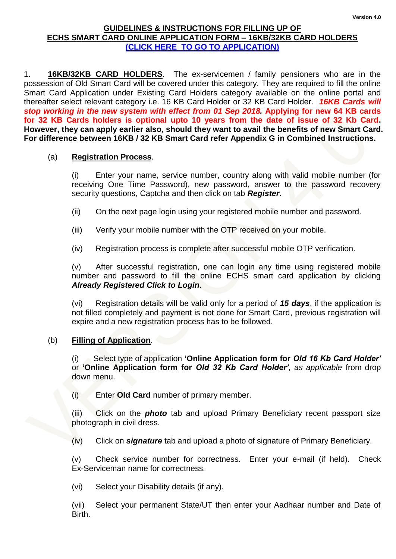### **GUIDELINES & INSTRUCTIONS FOR FILLING UP OF ECHS SMART CARD ONLINE APPLICATION FORM – 16KB/32KB CARD HOLDERS [\(CLICK HERE TO GO TO APPLICATION\)](https://echs.sourceinfosys.com/)**

1. **16KB/32KB CARD HOLDERS**. The ex-servicemen / family pensioners who are in the possession of Old Smart Card will be covered under this category. They are required to fill the online Smart Card Application under Existing Card Holders category available on the online portal and thereafter select relevant category i.e. 16 KB Card Holder or 32 KB Card Holder. *16KB Cards will stop working in the new system with effect from 01 Sep 2018.* **Applying for new 64 KB cards for 32 KB Cards holders is optional upto 10 years from the date of issue of 32 Kb Card. However, they can apply earlier also, should they want to avail the benefits of new Smart Card. For difference between 16KB / 32 KB Smart Card refer Appendix G in Combined Instructions.** 

## (a) **Registration Process**.

(i) Enter your name, service number, country along with valid mobile number (for receiving One Time Password), new password, answer to the password recovery security questions, Captcha and then click on tab *Register*.

- (ii) On the next page login using your registered mobile number and password.
- (iii) Verify your mobile number with the OTP received on your mobile.
- (iv) Registration process is complete after successful mobile OTP verification.

(v) After successful registration, one can login any time using registered mobile number and password to fill the online ECHS smart card application by clicking *Already Registered Click to Login*.

(vi) Registration details will be valid only for a period of *15 days*, if the application is not filled completely and payment is not done for Smart Card, previous registration will expire and a new registration process has to be followed.

### (b) **Filling of Application**.

(i) Select type of application **'Online Application form for** *Old 16 Kb Card Holder'*  or **'Online Application form for** *Old 32 Kb Card Holder', as applicable* from drop down menu.

(i) Enter **Old Card** number of primary member.

(iii) Click on the *photo* tab and upload Primary Beneficiary recent passport size photograph in civil dress.

(iv) Click on *signature* tab and upload a photo of signature of Primary Beneficiary.

(v) Check service number for correctness. Enter your e-mail (if held). Check Ex-Serviceman name for correctness.

(vi) Select your Disability details (if any).

(vii) Select your permanent State/UT then enter your Aadhaar number and Date of Birth.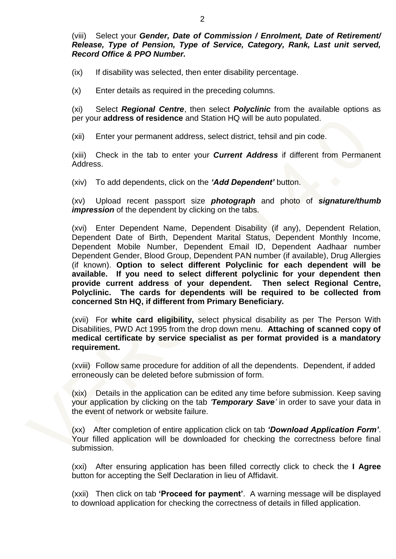(viii) Select your *Gender, Date of Commission / Enrolment, Date of Retirement/ Release, Type of Pension, Type of Service, Category, Rank, Last unit served, Record Office & PPO Number.*

(ix) If disability was selected, then enter disability percentage.

(x) Enter details as required in the preceding columns.

(xi) Select *Regional Centre*, then select *Polyclinic* from the available options as per your **address of residence** and Station HQ will be auto populated.

(xii) Enter your permanent address, select district, tehsil and pin code.

(xiii) Check in the tab to enter your *Current Address* if different from Permanent Address.

(xiv) To add dependents, click on the *'Add Dependent'* button.

(xv) Upload recent passport size *photograph* and photo of *signature/thumb impression* of the dependent by clicking on the tabs.

(xvi) Enter Dependent Name, Dependent Disability (if any), Dependent Relation, Dependent Date of Birth, Dependent Marital Status, Dependent Monthly Income, Dependent Mobile Number, Dependent Email ID, Dependent Aadhaar number Dependent Gender, Blood Group, Dependent PAN number (if available), Drug Allergies (if known). **Option to select different Polyclinic for each dependent will be available. If you need to select different polyclinic for your dependent then provide current address of your dependent. Then select Regional Centre, Polyclinic. The cards for dependents will be required to be collected from concerned Stn HQ, if different from Primary Beneficiary.**

(xvii) For **white card eligibility,** select physical disability as per The Person With Disabilities, PWD Act 1995 from the drop down menu. **Attaching of scanned copy of medical certificate by service specialist as per format provided is a mandatory requirement.** 

(xviii) Follow same procedure for addition of all the dependents. Dependent, if added erroneously can be deleted before submission of form.

(xix) Details in the application can be edited any time before submission. Keep saving your application by clicking on the tab *'Temporary Save'* in order to save your data in the event of network or website failure.

(xx) After completion of entire application click on tab *'Download Application Form'*. Your filled application will be downloaded for checking the correctness before final submission.

(xxi) After ensuring application has been filled correctly click to check the **I Agree** button for accepting the Self Declaration in lieu of Affidavit.

(xxii) Then click on tab **'Proceed for payment'**. A warning message will be displayed to download application for checking the correctness of details in filled application.